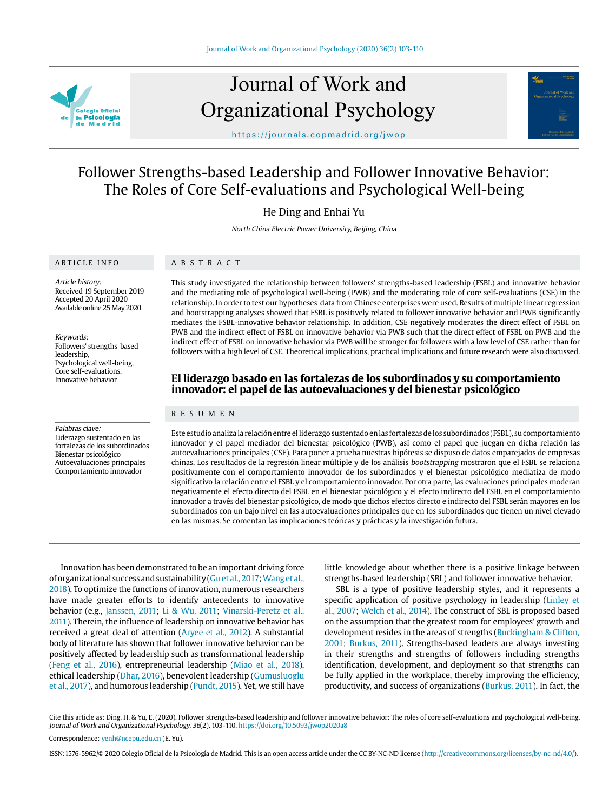

# Journal of Work and Organizational Psychology



https://journals.copmadrid.org/jwop

## Follower Strengths-based Leadership and Follower Innovative Behavior: The Roles of Core Self-evaluations and Psychological Well-being

He Ding and Enhai Yu

North China Electric Power University, Beijing, China

## ARTICLE INFO

Article history: Received 19 September 2019 Accepted 20 April 2020 Available online 25 May 2020

Keywords: Followers' strengths-based leadership, Psychological well-being, Core self-evaluations, Innovative behavior

#### Palabras clave:

Liderazgo sustentado en las fortalezas de los subordinados Bienestar psicológico Autoevaluaciones principales Comportamiento innovador

ABSTRACT

This study investigated the relationship between followers' strengths-based leadership (FSBL) and innovative behavior and the mediating role of psychological well-being (PWB) and the moderating role of core self-evaluations (CSE) in the relationship. In order to test our hypotheses data from Chinese enterprises were used. Results of multiple linear regression and bootstrapping analyses showed that FSBL is positively related to follower innovative behavior and PWB significantly mediates the FSBL-innovative behavior relationship. In addition, CSE negatively moderates the direct effect of FSBL on PWB and the indirect effect of FSBL on innovative behavior via PWB such that the direct effect of FSBL on PWB and the indirect effect of FSBL on innovative behavior via PWB will be stronger for followers with a low level of CSE rather than for followers with a high level of CSE. Theoretical implications, practical implications and future research were also discussed.

## **El liderazgo basado en las fortalezas de los subordinados y su comportamiento innovador: el papel de las autoevaluaciones y del bienestar psicológico**

#### RESUMEN

Este estudio analiza la relación entre el liderazgo sustentado en las fortalezas de los subordinados (FSBL), su comportamiento innovador y el papel mediador del bienestar psicológico (PWB), así como el papel que juegan en dicha relación las autoevaluaciones principales (CSE). Para poner a prueba nuestras hipótesis se dispuso de datos emparejados de empresas chinas. Los resultados de la regresión linear múltiple y de los análisis bootstrapping mostraron que el FSBL se relaciona positivamente con el comportamiento innovador de los subordinados y el bienestar psicológico mediatiza de modo significativo la relación entre el FSBL y el comportamiento innovador. Por otra parte, las evaluaciones principales moderan negativamente el efecto directo del FSBL en el bienestar psicológico y el efecto indirecto del FSBL en el comportamiento innovador a través del bienestar psicológico, de modo que dichos efectos directo e indirecto del FSBL serán mayores en los subordinados con un bajo nivel en las autoevaluaciones principales que en los subordinados que tienen un nivel elevado en las mismas. Se comentan las implicaciones teóricas y prácticas y la investigación futura.

Innovation has been demonstrated to be an important driving force of organizational success and sustainability (Gu et al., 2017; Wang et al., 2018). To optimize the functions of innovation, numerous researchers have made greater efforts to identify antecedents to innovative behavior (e.g., Janssen, 2011; Li & Wu, 2011; Vinarski-Peretz et al., 2011). Therein, the influence of leadership on innovative behavior has received a great deal of attention (Aryee et al., 2012). A substantial body of literature has shown that follower innovative behavior can be positively affected by leadership such as transformational leadership (Feng et al., 2016), entrepreneurial leadership (Miao et al., 2018), ethical leadership (Dhar, 2016), benevolent leadership (Gumusluoglu et al., 2017), and humorous leadership (Pundt, 2015). Yet, we still have

little knowledge about whether there is a positive linkage between strengths-based leadership (SBL) and follower innovative behavior.

SBL is a type of positive leadership styles, and it represents a specific application of positive psychology in leadership (Linley et al., 2007; Welch et al., 2014). The construct of SBL is proposed based on the assumption that the greatest room for employees' growth and development resides in the areas of strengths (Buckingham & Clifton, 2001; Burkus, 2011). Strengths-based leaders are always investing in their strengths and strengths of followers including strengths identification, development, and deployment so that strengths can be fully applied in the workplace, thereby improving the efficiency, productivity, and success of organizations (Burkus, 2011). In fact, the

Cite this article as: Ding, H. & Yu, E. (2020). Follower strengths-based leadership and follower innovative behavior: The roles of core self-evaluations and psychological well-being. Journal of Work and Organizational Psychology, 36(2), 103-110. https://doi.org/10.5093/jwop2020a8

Correspondence: yenh@ncepu.edu.cn (E. Yu).

ISSN:1576-5962/© 2020 Colegio Oficial de la Psicología de Madrid. This is an open access article under the CC BY-NC-ND license (http://creativecommons.org/licenses/by-nc-nd/4.0/).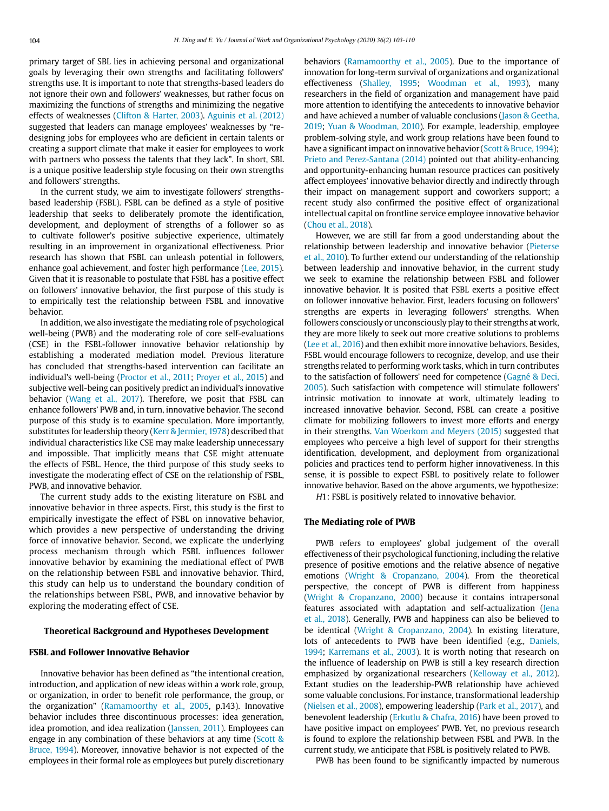primary target of SBL lies in achieving personal and organizational goals by leveraging their own strengths and facilitating followers' strengths use. It is important to note that strengths-based leaders do not ignore their own and followers' weaknesses, but rather focus on maximizing the functions of strengths and minimizing the negative effects of weaknesses (Clifton & Harter, 2003). Aguinis et al. (2012) suggested that leaders can manage employees' weaknesses by "redesigning jobs for employees who are deficient in certain talents or creating a support climate that make it easier for employees to work with partners who possess the talents that they lack". In short, SBL is a unique positive leadership style focusing on their own strengths and followers' strengths.

In the current study, we aim to investigate followers' strengthsbased leadership (FSBL). FSBL can be defined as a style of positive leadership that seeks to deliberately promote the identification, development, and deployment of strengths of a follower so as to cultivate follower's positive subjective experience, ultimately resulting in an improvement in organizational effectiveness. Prior research has shown that FSBL can unleash potential in followers, enhance goal achievement, and foster high performance (Lee, 2015). Given that it is reasonable to postulate that FSBL has a positive effect on followers' innovative behavior, the first purpose of this study is to empirically test the relationship between FSBL and innovative behavior.

In addition, we also investigate the mediating role of psychological well-being (PWB) and the moderating role of core self-evaluations (CSE) in the FSBL-follower innovative behavior relationship by establishing a moderated mediation model. Previous literature has concluded that strengths-based intervention can facilitate an individual's well-being (Proctor et al., 2011; Proyer et al., 2015) and subjective well-being can positively predict an individual's innovative behavior (Wang et al., 2017). Therefore, we posit that FSBL can enhance followers' PWB and, in turn, innovative behavior. The second purpose of this study is to examine speculation. More importantly, substitutes for leadership theory (Kerr & Jermier, 1978) described that individual characteristics like CSE may make leadership unnecessary and impossible. That implicitly means that CSE might attenuate the effects of FSBL. Hence, the third purpose of this study seeks to investigate the moderating effect of CSE on the relationship of FSBL, PWB, and innovative behavior.

The current study adds to the existing literature on FSBL and innovative behavior in three aspects. First, this study is the first to empirically investigate the effect of FSBL on innovative behavior, which provides a new perspective of understanding the driving force of innovative behavior. Second, we explicate the underlying process mechanism through which FSBL influences follower innovative behavior by examining the mediational effect of PWB on the relationship between FSBL and innovative behavior. Third, this study can help us to understand the boundary condition of the relationships between FSBL, PWB, and innovative behavior by exploring the moderating effect of CSE.

#### **Theoretical Background and Hypotheses Development**

#### **FSBL and Follower Innovative Behavior**

Innovative behavior has been defined as "the intentional creation, introduction, and application of new ideas within a work role, group, or organization, in order to benefit role performance, the group, or the organization" (Ramamoorthy et al., 2005, p.143). Innovative behavior includes three discontinuous processes: idea generation, idea promotion, and idea realization (Janssen, 2011). Employees can engage in any combination of these behaviors at any time (Scott & Bruce, 1994). Moreover, innovative behavior is not expected of the employees in their formal role as employees but purely discretionary behaviors (Ramamoorthy et al., 2005). Due to the importance of innovation for long-term survival of organizations and organizational effectiveness (Shalley, 1995; Woodman et al., 1993), many researchers in the field of organization and management have paid more attention to identifying the antecedents to innovative behavior and have achieved a number of valuable conclusions (Jason & Geetha, 2019; Yuan & Woodman, 2010). For example, leadership, employee problem-solving style, and work group relations have been found to have a significant impact on innovative behavior (Scott & Bruce, 1994); Prieto and Perez-Santana (2014) pointed out that ability-enhancing and opportunity-enhancing human resource practices can positively affect employees' innovative behavior directly and indirectly through their impact on management support and coworkers support; a recent study also confirmed the positive effect of organizational intellectual capital on frontline service employee innovative behavior (Chou et al., 2018).

However, we are still far from a good understanding about the relationship between leadership and innovative behavior (Pieterse et al., 2010). To further extend our understanding of the relationship between leadership and innovative behavior, in the current study we seek to examine the relationship between FSBL and follower innovative behavior. It is posited that FSBL exerts a positive effect on follower innovative behavior. First, leaders focusing on followers' strengths are experts in leveraging followers' strengths. When followers consciously or unconsciously play to their strengths at work, they are more likely to seek out more creative solutions to problems (Lee et al., 2016) and then exhibit more innovative behaviors. Besides, FSBL would encourage followers to recognize, develop, and use their strengths related to performing work tasks, which in turn contributes to the satisfaction of followers' need for competence (Gagné & Deci, 2005). Such satisfaction with competence will stimulate followers' intrinsic motivation to innovate at work, ultimately leading to increased innovative behavior. Second, FSBL can create a positive climate for mobilizing followers to invest more efforts and energy in their strengths. Van Woerkom and Meyers (2015) suggested that employees who perceive a high level of support for their strengths identification, development, and deployment from organizational policies and practices tend to perform higher innovativeness. In this sense, it is possible to expect FSBL to positively relate to follower innovative behavior. Based on the above arguments, we hypothesize:

H1: FSBL is positively related to innovative behavior.

## **The Mediating role of PWB**

PWB refers to employees' global judgement of the overall effectiveness of their psychological functioning, including the relative presence of positive emotions and the relative absence of negative emotions (Wright & Cropanzano, 2004). From the theoretical perspective, the concept of PWB is different from happiness (Wright & Cropanzano, 2000) because it contains intrapersonal features associated with adaptation and self-actualization (Jena et al., 2018). Generally, PWB and happiness can also be believed to be identical (Wright & Cropanzano, 2004). In existing literature, lots of antecedents to PWB have been identified (e.g., Daniels, 1994; Karremans et al., 2003). It is worth noting that research on the influence of leadership on PWB is still a key research direction emphasized by organizational researchers (Kelloway et al., 2012). Extant studies on the leadership-PWB relationship have achieved some valuable conclusions. For instance, transformational leadership (Nielsen et al., 2008), empowering leadership (Park et al., 2017), and benevolent leadership (Erkutlu & Chafra, 2016) have been proved to have positive impact on employees' PWB. Yet, no previous research is found to explore the relationship between FSBL and PWB. In the current study, we anticipate that FSBL is positively related to PWB.

PWB has been found to be significantly impacted by numerous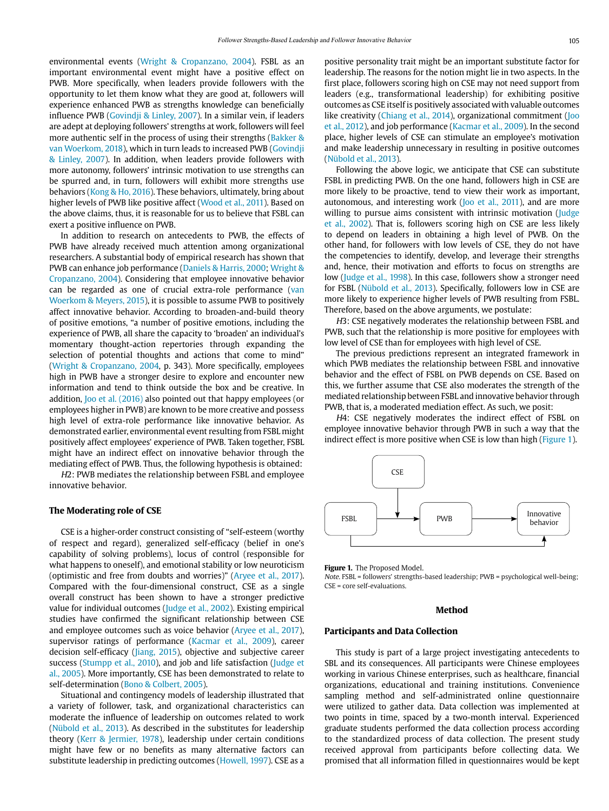environmental events (Wright & Cropanzano, 2004). FSBL as an important environmental event might have a positive effect on PWB. More specifically, when leaders provide followers with the opportunity to let them know what they are good at, followers will experience enhanced PWB as strengths knowledge can beneficially influence PWB (Govindji & Linley, 2007). In a similar vein, if leaders are adept at deploying followers' strengths at work, followers will feel more authentic self in the process of using their strengths (Bakker & van Woerkom, 2018), which in turn leads to increased PWB (Govindji & Linley, 2007). In addition, when leaders provide followers with more autonomy, followers' intrinsic motivation to use strengths can be spurred and, in turn, followers will exhibit more strengths use behaviors (Kong & Ho, 2016). These behaviors, ultimately, bring about higher levels of PWB like positive affect (Wood et al., 2011). Based on the above claims, thus, it is reasonable for us to believe that FSBL can exert a positive influence on PWB.

In addition to research on antecedents to PWB, the effects of PWB have already received much attention among organizational researchers. A substantial body of empirical research has shown that PWB can enhance job performance (Daniels & Harris, 2000; Wright & Cropanzano, 2004). Considering that employee innovative behavior can be regarded as one of crucial extra-role performance (van Woerkom & Meyers, 2015), it is possible to assume PWB to positively affect innovative behavior. According to broaden-and-build theory of positive emotions, "a number of positive emotions, including the experience of PWB, all share the capacity to 'broaden' an individual's momentary thought-action repertories through expanding the selection of potential thoughts and actions that come to mind" (Wright & Cropanzano, 2004, p. 343). More specifically, employees high in PWB have a stronger desire to explore and encounter new information and tend to think outside the box and be creative. In addition, Joo et al. (2016) also pointed out that happy employees (or employees higher in PWB) are known to be more creative and possess high level of extra-role performance like innovative behavior. As demonstrated earlier, environmental event resulting from FSBL might positively affect employees' experience of PWB. Taken together, FSBL might have an indirect effect on innovative behavior through the mediating effect of PWB. Thus, the following hypothesis is obtained:

H2: PWB mediates the relationship between FSBL and employee innovative behavior.

## **The Moderating role of CSE**

CSE is a higher-order construct consisting of "self-esteem (worthy of respect and regard), generalized self-efficacy (belief in one's capability of solving problems), locus of control (responsible for what happens to oneself), and emotional stability or low neuroticism (optimistic and free from doubts and worries)" (Aryee et al., 2017). Compared with the four-dimensional construct, CSE as a single overall construct has been shown to have a stronger predictive value for individual outcomes (Judge et al., 2002). Existing empirical studies have confirmed the significant relationship between CSE and employee outcomes such as voice behavior (Aryee et al., 2017), supervisor ratings of performance (Kacmar et al., 2009), career decision self-efficacy (Jiang, 2015), objective and subjective career success (Stumpp et al., 2010), and job and life satisfaction (Judge et al., 2005). More importantly, CSE has been demonstrated to relate to self-determination (Bono & Colbert, 2005).

Situational and contingency models of leadership illustrated that a variety of follower, task, and organizational characteristics can moderate the influence of leadership on outcomes related to work (Nübold et al., 2013). As described in the substitutes for leadership theory (Kerr & Jermier, 1978), leadership under certain conditions might have few or no benefits as many alternative factors can substitute leadership in predicting outcomes (Howell, 1997). CSE as a positive personality trait might be an important substitute factor for leadership. The reasons for the notion might lie in two aspects. In the first place, followers scoring high on CSE may not need support from leaders (e.g., transformational leadership) for exhibiting positive outcomes as CSE itself is positively associated with valuable outcomes like creativity (Chiang et al., 2014), organizational commitment (Joo et al., 2012), and job performance (Kacmar et al., 2009). In the second place, higher levels of CSE can stimulate an employee's motivation and make leadership unnecessary in resulting in positive outcomes (Nübold et al., 2013).

Following the above logic, we anticipate that CSE can substitute FSBL in predicting PWB. On the one hand, followers high in CSE are more likely to be proactive, tend to view their work as important, autonomous, and interesting work (Joo et al., 2011), and are more willing to pursue aims consistent with intrinsic motivation (Judge et al., 2002). That is, followers scoring high on CSE are less likely to depend on leaders in obtaining a high level of PWB. On the other hand, for followers with low levels of CSE, they do not have the competencies to identify, develop, and leverage their strengths and, hence, their motivation and efforts to focus on strengths are low (Judge et al., 1998). In this case, followers show a stronger need for FSBL (Nübold et al., 2013). Specifically, followers low in CSE are more likely to experience higher levels of PWB resulting from FSBL. Therefore, based on the above arguments, we postulate:

H3: CSE negatively moderates the relationship between FSBL and PWB, such that the relationship is more positive for employees with low level of CSE than for employees with high level of CSE.

The previous predictions represent an integrated framework in which PWB mediates the relationship between FSBL and innovative behavior and the effect of FSBL on PWB depends on CSE. Based on this, we further assume that CSE also moderates the strength of the mediated relationship between FSBL and innovative behavior through PWB, that is, a moderated mediation effect. As such, we posit:

H4: CSE negatively moderates the indirect effect of FSBL on employee innovative behavior through PWB in such a way that the indirect effect is more positive when CSE is low than high (Figure 1).



**Figure 1.** The Proposed Model.

Note. FSBL = followers' strengths-based leadership; PWB = psychological well-being; CSE = core self-evaluations.

#### **Method**

#### **Participants and Data Collection**

This study is part of a large project investigating antecedents to SBL and its consequences. All participants were Chinese employees working in various Chinese enterprises, such as healthcare, financial organizations, educational and training institutions. Convenience sampling method and self-administrated online questionnaire were utilized to gather data. Data collection was implemented at two points in time, spaced by a two-month interval. Experienced graduate students performed the data collection process according to the standardized process of data collection. The present study received approval from participants before collecting data. We promised that all information filled in questionnaires would be kept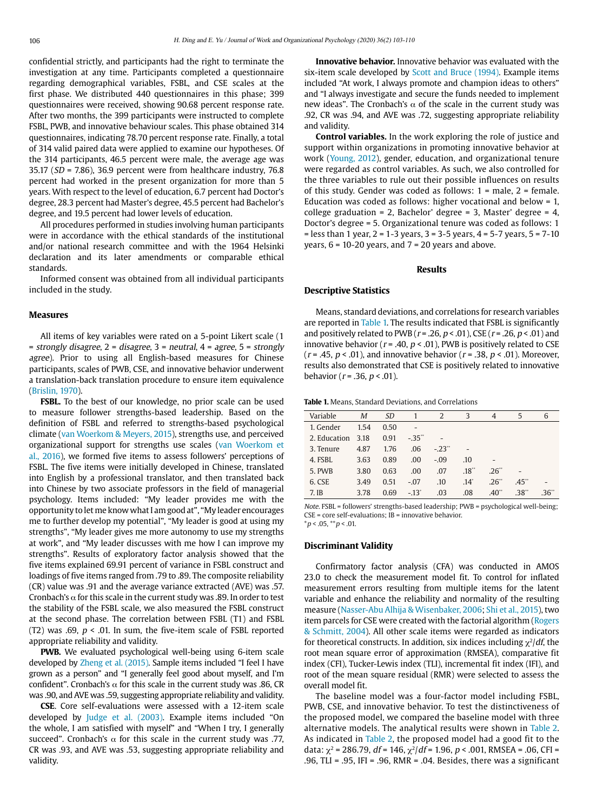confidential strictly, and participants had the right to terminate the investigation at any time. Participants completed a questionnaire regarding demographical variables, FSBL, and CSE scales at the first phase. We distributed 440 questionnaires in this phase; 399 questionnaires were received, showing 90.68 percent response rate. After two months, the 399 participants were instructed to complete FSBL, PWB, and innovative behaviour scales. This phase obtained 314 questionnaires, indicating 78.70 percent response rate. Finally, a total of 314 valid paired data were applied to examine our hypotheses. Of the 314 participants, 46.5 percent were male, the average age was 35.17 ( $SD = 7.86$ ), 36.9 percent were from healthcare industry, 76.8 percent had worked in the present organization for more than 5 years. With respect to the level of education, 6.7 percent had Doctor's degree, 28.3 percent had Master's degree, 45.5 percent had Bachelor's degree, and 19.5 percent had lower levels of education.

All procedures performed in studies involving human participants were in accordance with the ethical standards of the institutional and/or national research committee and with the 1964 Helsinki declaration and its later amendments or comparable ethical standards.

Informed consent was obtained from all individual participants included in the study.

#### **Measures**

All items of key variables were rated on a 5-point Likert scale (1  $=$  strongly disagree,  $2 =$  disagree,  $3 =$  neutral,  $4 =$  agree,  $5 =$  strongly agree). Prior to using all English-based measures for Chinese participants, scales of PWB, CSE, and innovative behavior underwent a translation-back translation procedure to ensure item equivalence (Brislin, 1970).

**FSBL.** To the best of our knowledge, no prior scale can be used to measure follower strengths-based leadership. Based on the definition of FSBL and referred to strengths-based psychological climate (van Woerkom & Meyers, 2015), strengths use, and perceived organizational support for strengths use scales (van Woerkom et al., 2016), we formed five items to assess followers' perceptions of FSBL. The five items were initially developed in Chinese, translated into English by a professional translator, and then translated back into Chinese by two associate professors in the field of managerial psychology. Items included: "My leader provides me with the opportunity to let me know what I am good at", "My leader encourages me to further develop my potential", "My leader is good at using my strengths", "My leader gives me more autonomy to use my strengths at work", and "My leader discusses with me how I can improve my strengths". Results of exploratory factor analysis showed that the five items explained 69.91 percent of variance in FSBL construct and loadings of five items ranged from .79 to .89. The composite reliability (CR) value was .91 and the average variance extracted (AVE) was .57. Cronbach's  $\alpha$  for this scale in the current study was .89. In order to test the stability of the FSBL scale, we also measured the FSBL construct at the second phase. The correlation between FSBL (T1) and FSBL (T2) was .69,  $p < .01$ . In sum, the five-item scale of FSBL reported appropriate reliability and validity.

**PWB.** We evaluated psychological well-being using 6-item scale developed by Zheng et al. (2015). Sample items included "I feel I have grown as a person" and "I generally feel good about myself, and I'm confident". Cronbach's  $\alpha$  for this scale in the current study was .86, CR was .90, and AVE was .59, suggesting appropriate reliability and validity.

**CSE**. Core self-evaluations were assessed with a 12-item scale developed by Judge et al. (2003). Example items included "On the whole, I am satisfied with myself" and "When I try, I generally succeed". Cronbach's  $\alpha$  for this scale in the current study was .77, CR was .93, and AVE was .53, suggesting appropriate reliability and validity.

**Innovative behavior.** Innovative behavior was evaluated with the six-item scale developed by Scott and Bruce (1994). Example items included "At work, I always promote and champion ideas to others" and "I always investigate and secure the funds needed to implement new ideas". The Cronbach's  $α$  of the scale in the current study was .92, CR was .94, and AVE was .72, suggesting appropriate reliability and validity.

**Control variables.** In the work exploring the role of justice and support within organizations in promoting innovative behavior at work (Young, 2012), gender, education, and organizational tenure were regarded as control variables. As such, we also controlled for the three variables to rule out their possible influences on results of this study. Gender was coded as follows: 1 = male, 2 = female. Education was coded as follows: higher vocational and below = 1, college graduation = 2, Bachelor' degree = 3, Master' degree = 4, Doctor's degree = 5. Organizational tenure was coded as follows: 1  $=$  less than 1 year,  $2 = 1-3$  years,  $3 = 3-5$  years,  $4 = 5-7$  years,  $5 = 7-10$ years,  $6 = 10-20$  years, and  $7 = 20$  years and above.

#### **Results**

## **Descriptive Statistics**

Means, standard deviations, and correlations for research variables are reported in Table 1. The results indicated that FSBL is significantly and positively related to PWB ( $r = .26$ ,  $p < .01$ ), CSE ( $r = .26$ ,  $p < .01$ ) and innovative behavior ( $r = .40$ ,  $p < .01$ ), PWB is positively related to CSE ( $r = .45$ ,  $p < .01$ ), and innovative behavior ( $r = .38$ ,  $p < .01$ ). Moreover, results also demonstrated that CSE is positively related to innovative behavior ( $r = .36$ ,  $p < .01$ ).

**Table 1.** Means, Standard Deviations, and Correlations

| Variable     | Μ    | SD   |         | 2       | 3             | 4    | 5    | 6   |
|--------------|------|------|---------|---------|---------------|------|------|-----|
| 1. Gender    | 1.54 | 0.50 |         |         |               |      |      |     |
| 2. Education | 3.18 | 0.91 | $-35"$  |         |               |      |      |     |
| 3. Tenure    | 4.87 | 1.76 | .06     | $-.23"$ |               |      |      |     |
| 4. FSBL      | 3.63 | 0.89 | .00     | $-.09$  | .10           |      |      |     |
| 5. PWB       | 3.80 | 0.63 | .00     | .07     | .18"          | .26" |      |     |
| 6. CSE       | 3.49 | 0.51 | $-.07$  | .10     | $.14^{\circ}$ | .26" | .45" |     |
| 7. IB        | 3.78 | 0.69 | $-.13"$ | .03     | .08           | .40" | .38* | 36" |

Note. FSBL = followers' strengths-based leadership; PWB = psychological well-being; CSE = core self-evaluations; IB = innovative behavior.  $*p < .05, **p < .01.$ 

#### **Discriminant Validity**

Confirmatory factor analysis (CFA) was conducted in AMOS 23.0 to check the measurement model fit. To control for inflated measurement errors resulting from multiple items for the latent variable and enhance the reliability and normality of the resulting measure (Nasser-Abu Alhija & Wisenbaker, 2006; Shi et al., 2015), two item parcels for CSE were created with the factorial algorithm (Rogers & Schmitt, 2004). All other scale items were regarded as indicators for theoretical constructs. In addition, six indices including  $\chi^2/df$ , the root mean square error of approximation (RMSEA), comparative fit index (CFI), Tucker-Lewis index (TLI), incremental fit index (IFI), and root of the mean square residual (RMR) were selected to assess the overall model fit.

The baseline model was a four-factor model including FSBL, PWB, CSE, and innovative behavior. To test the distinctiveness of the proposed model, we compared the baseline model with three alternative models. The analytical results were shown in Table 2. As indicated in Table 2, the proposed model had a good fit to the data:  $\chi^2$  = 286.79, df = 146,  $\chi^2$ /df = 1.96, p < .001, RMSEA = .06, CFI = .96, TLI = .95, IFI = .96, RMR = .04. Besides, there was a significant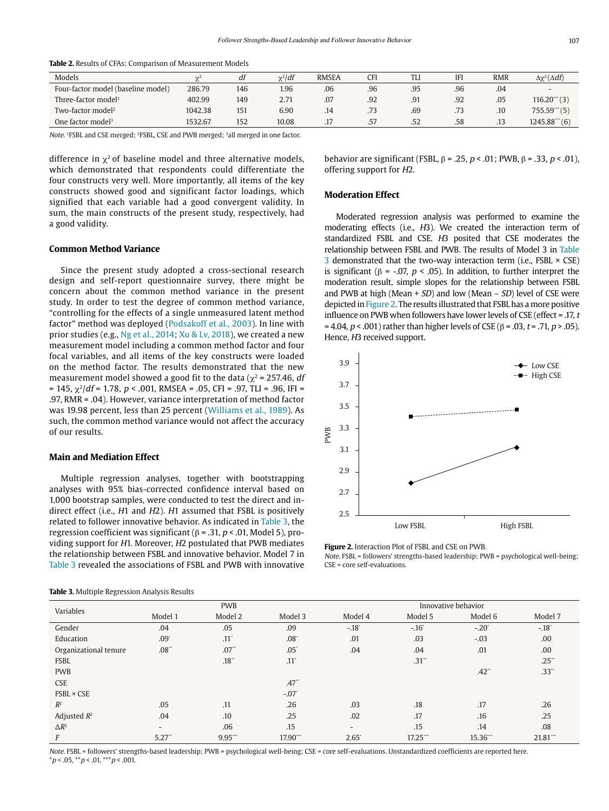| Models                             | $\sim$  | df  | $\gamma^2$ df | <b>RMSEA</b> | CFI | <b>TLI</b> | <b>IFI</b> | <b>RMR</b> | $\Delta \chi^2(\Delta df)$ |
|------------------------------------|---------|-----|---------------|--------------|-----|------------|------------|------------|----------------------------|
| Four-factor model (baseline model) | 286.79  | 146 | 1.96          | .06          | .96 | .95        | .96        | .04        | $\overline{\phantom{a}}$   |
| Three-factor model <sup>1</sup>    | 402.99  | 149 | 2.71          | .07          | .92 | .91        | .92        | .05        | $116.20$ (3)               |
| Two-factor model <sup>2</sup>      | 1042.38 | 151 | 6.90          | .14          | .73 | .69        |            | .10        | 755.59'''(5)               |
| One factor model <sup>3</sup>      | 532.67  | 152 | 10.08         | .            | .57 | .52        | .58        | .13        | 1245.88'''(6)              |

**Table 2.** Results of CFAs: Comparison of Measurement Models

Note. 1FSBL and CSE merged; 2FSBL, CSE and PWB merged; 3all merged in one factor.

difference in  $x^2$  of baseline model and three alternative models. which demonstrated that respondents could differentiate the four constructs very well. More importantly, all items of the key constructs showed good and significant factor loadings, which signified that each variable had a good convergent validity. In sum, the main constructs of the present study, respectively, had a good validity.

## **Common Method Variance**

Since the present study adopted a cross-sectional research design and self-report questionnaire survey, there might be concern about the common method variance in the present study. In order to test the degree of common method variance, "controlling for the effects of a single unmeasured latent method factor" method was deployed (Podsakoff et al., 2003). In line with prior studies (e.g., Ng et al., 2014; Xu & Lv, 2018), we created a new measurement model including a common method factor and four focal variables, and all items of the key constructs were loaded on the method factor. The results demonstrated that the new measurement model showed a good fit to the data ( $\chi^2$  = 257.46, df  $= 145$ ,  $\chi^2/df = 1.78$ ,  $p < .001$ , RMSEA = .05, CFI = .97, TLI = .96, IFI = .97, RMR = .04). However, variance interpretation of method factor was 19.98 percent, less than 25 percent (Williams et al., 1989). As such, the common method variance would not affect the accuracy of our results.

#### **Main and Mediation Effect**

Multiple regression analyses, together with bootstrapping analyses with 95% bias-corrected confidence interval based on 1,000 bootstrap samples, were conducted to test the direct and indirect effect (i.e., H1 and H2). H1 assumed that FSBL is positively related to follower innovative behavior. As indicated in Table 3, the regression coefficient was significant (β = .31,  $p$  < .01, Model 5), providing support for H1. Moreover, H2 postulated that PWB mediates the relationship between FSBL and innovative behavior. Model 7 in Table 3 revealed the associations of FSBL and PWB with innovative

behavior are significant (FSBL,  $\beta$  = .25, p < .01; PWB,  $\beta$  = .33, p < .01), offering support for H2.

## **Moderation Effect**

Moderated regression analysis was performed to examine the moderating effects (i.e., H3). We created the interaction term of standardized FSBL and CSE. H3 posited that CSE moderates the relationship between FSBL and PWB. The results of Model 3 in Table 3 demonstrated that the two-way interaction term (i.e., FSBL  $\times$  CSE) is significant (β = -.07,  $p < .05$ ). In addition, to further interpret the moderation result, simple slopes for the relationship between FSBL and PWB at high (Mean  $+$  SD) and low (Mean  $-$  SD) level of CSE were depicted in Figure 2. The results illustrated that FSBL has a more positive influence on PWB when followers have lower levels of CSE (effect = .17, <sup>t</sup> = 4.04, *p* < .001) rather than higher levels of CSE (β = .03, *t* = .71, *p* > .05). Hence, H3 received support.



**Figure 2.** Interaction Plot of FSBL and CSE on PWB. Note. FSBL = followers' strengths-based leadership; PWB = psychological well-being; CSE = core self-evaluations.

| <b>Table 3.</b> Multiple Regression Analysis Results |  |
|------------------------------------------------------|--|
|------------------------------------------------------|--|

| Variables             | <b>PWB</b>               |                    |                    | Innovative behavior      |             |                |             |  |
|-----------------------|--------------------------|--------------------|--------------------|--------------------------|-------------|----------------|-------------|--|
|                       | Model 1                  | Model 2            | Model 3            | Model 4                  | Model 5     | Model 6        | Model 7     |  |
| Gender                | .04                      | .05                | .09                | $-.18$ <sup>*</sup>      | $-.16"$     | $-.20^{\circ}$ | $-.18"$     |  |
| Education             | $.09^{\circ}$            | $.11$ <sup>*</sup> | $.08^{\circ}$      | .01                      | .03         | $-.03$         | .00.        |  |
| Organizational tenure | .08"                     | .07"               | $.05^{\circ}$      | .04                      | .04         | .01            | .00.        |  |
| <b>FSBL</b>           |                          | .18                | $.11$ <sup>*</sup> |                          | .31"        |                | $.25$ **    |  |
| <b>PWB</b>            |                          |                    |                    |                          |             | .42"           | .33"        |  |
| <b>CSE</b>            |                          |                    | .47"               |                          |             |                |             |  |
| $FSBL \times CSE$     |                          |                    | $-.07"$            |                          |             |                |             |  |
| $R^2$                 | .05                      | .11                | .26                | .03                      | .18         | .17            | .26         |  |
| Adjusted $R^2$        | .04                      | .10                | .25                | .02                      | .17         | .16            | .25         |  |
| $\Delta R^2$          | $\overline{\phantom{a}}$ | .06                | .15                | $\overline{\phantom{0}}$ | .15         | .14            | .08         |  |
| F                     | $5.27$ "                 | $9.95$ ***         | 17.90              | $2.65^{\circ}$           | $17.25$ *** | 15.36***       | $21.81$ *** |  |

Note. FSBL = followers' strengths-based leadership; PWB = psychological well-being; CSE = core self-evaluations. Unstandardized coefficients are reported here.  $*p < .05, **p < .01, **p < .001.$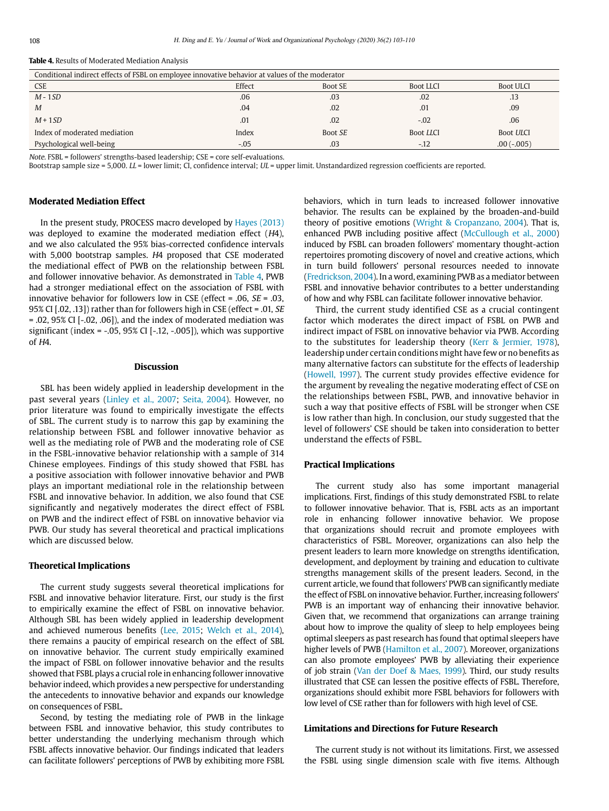| <b>Table 4.</b> Results of Moderated Mediation Analysis |  |
|---------------------------------------------------------|--|
|---------------------------------------------------------|--|

| Conditional indirect effects of FSBL on employee innovative behavior at values of the moderator |        |                |                  |                  |  |  |  |  |
|-------------------------------------------------------------------------------------------------|--------|----------------|------------------|------------------|--|--|--|--|
| <b>CSE</b>                                                                                      | Effect | <b>Boot SE</b> | <b>Boot LLCI</b> | <b>Boot ULCI</b> |  |  |  |  |
| $M - 1SD$                                                                                       | .06    | .03            | .02              | .13              |  |  |  |  |
| M                                                                                               | .04    | .02            | .01              | .09              |  |  |  |  |
| $M+1SD$                                                                                         | .01    | .02            | $-.02$           | .06              |  |  |  |  |
| Index of moderated mediation                                                                    | Index  | Boot SE        | <b>Boot LLCI</b> | <b>Boot ULCI</b> |  |  |  |  |
| Psychological well-being                                                                        | $-.05$ | .03            | $-.12$           | $.00(-.005)$     |  |  |  |  |

Note. FSBL = followers' strengths-based leadership; CSE = core self-evaluations.

Bootstrap sample size = 5,000. LL = lower limit; CI, confidence interval; UL = upper limit. Unstandardized regression coefficients are reported.

## **Moderated Mediation Effect**

In the present study, PROCESS macro developed by Hayes (2013) was deployed to examine the moderated mediation effect (H4), and we also calculated the 95% bias-corrected confidence intervals with 5,000 bootstrap samples. H4 proposed that CSE moderated the mediational effect of PWB on the relationship between FSBL and follower innovative behavior. As demonstrated in Table 4, PWB had a stronger mediational effect on the association of FSBL with innovative behavior for followers low in CSE (effect = .06,  $SE$  = .03, 95% CI [.02, .13]) rather than for followers high in CSE (effect = .01, SE  $= .02, 95\%$  CI  $[-.02, .06]$ ), and the index of moderated mediation was significant (index =  $-0.05$ , 95% CI [ $-0.12$ ,  $-0.005$ ]), which was supportive  $of HA$ 

#### **Discussion**

SBL has been widely applied in leadership development in the past several years (Linley et al., 2007; Seita, 2004). However, no prior literature was found to empirically investigate the effects of SBL. The current study is to narrow this gap by examining the relationship between FSBL and follower innovative behavior as well as the mediating role of PWB and the moderating role of CSE in the FSBL-innovative behavior relationship with a sample of 314 Chinese employees. Findings of this study showed that FSBL has a positive association with follower innovative behavior and PWB plays an important mediational role in the relationship between FSBL and innovative behavior. In addition, we also found that CSE significantly and negatively moderates the direct effect of FSBL on PWB and the indirect effect of FSBL on innovative behavior via PWB. Our study has several theoretical and practical implications which are discussed below.

#### **Theoretical Implications**

The current study suggests several theoretical implications for FSBL and innovative behavior literature. First, our study is the first to empirically examine the effect of FSBL on innovative behavior. Although SBL has been widely applied in leadership development and achieved numerous benefits (Lee, 2015; Welch et al., 2014), there remains a paucity of empirical research on the effect of SBL on innovative behavior. The current study empirically examined the impact of FSBL on follower innovative behavior and the results showed that FSBL plays a crucial role in enhancing follower innovative behavior indeed, which provides a new perspective for understanding the antecedents to innovative behavior and expands our knowledge on consequences of FSBL.

Second, by testing the mediating role of PWB in the linkage between FSBL and innovative behavior, this study contributes to better understanding the underlying mechanism through which FSBL affects innovative behavior. Our findings indicated that leaders can facilitate followers' perceptions of PWB by exhibiting more FSBL

behaviors, which in turn leads to increased follower innovative behavior. The results can be explained by the broaden-and-build theory of positive emotions (Wright & Cropanzano, 2004). That is, enhanced PWB including positive affect (McCullough et al., 2000) induced by FSBL can broaden followers' momentary thought-action repertoires promoting discovery of novel and creative actions, which in turn build followers' personal resources needed to innovate (Fredrickson, 2004). In a word, examining PWB as a mediator between FSBL and innovative behavior contributes to a better understanding of how and why FSBL can facilitate follower innovative behavior.

Third, the current study identified CSE as a crucial contingent factor which moderates the direct impact of FSBL on PWB and indirect impact of FSBL on innovative behavior via PWB. According to the substitutes for leadership theory (Kerr & Jermier, 1978), leadership under certain conditions might have few or no benefits as many alternative factors can substitute for the effects of leadership (Howell, 1997). The current study provides effective evidence for the argument by revealing the negative moderating effect of CSE on the relationships between FSBL, PWB, and innovative behavior in such a way that positive effects of FSBL will be stronger when CSE is low rather than high. In conclusion, our study suggested that the level of followers' CSE should be taken into consideration to better understand the effects of FSBL.

## **Practical Implications**

The current study also has some important managerial implications. First, findings of this study demonstrated FSBL to relate to follower innovative behavior. That is, FSBL acts as an important role in enhancing follower innovative behavior. We propose that organizations should recruit and promote employees with characteristics of FSBL. Moreover, organizations can also help the present leaders to learn more knowledge on strengths identification, development, and deployment by training and education to cultivate strengths management skills of the present leaders. Second, in the current article, we found that followers' PWB can significantly mediate the effect of FSBL on innovative behavior. Further, increasing followers' PWB is an important way of enhancing their innovative behavior. Given that, we recommend that organizations can arrange training about how to improve the quality of sleep to help employees being optimal sleepers as past research has found that optimal sleepers have higher levels of PWB (Hamilton et al., 2007). Moreover, organizations can also promote employees' PWB by alleviating their experience of job strain (Van der Doef & Maes, 1999). Third, our study results illustrated that CSE can lessen the positive effects of FSBL. Therefore, organizations should exhibit more FSBL behaviors for followers with low level of CSE rather than for followers with high level of CSE.

## **Limitations and Directions for Future Research**

The current study is not without its limitations. First, we assessed the FSBL using single dimension scale with five items. Although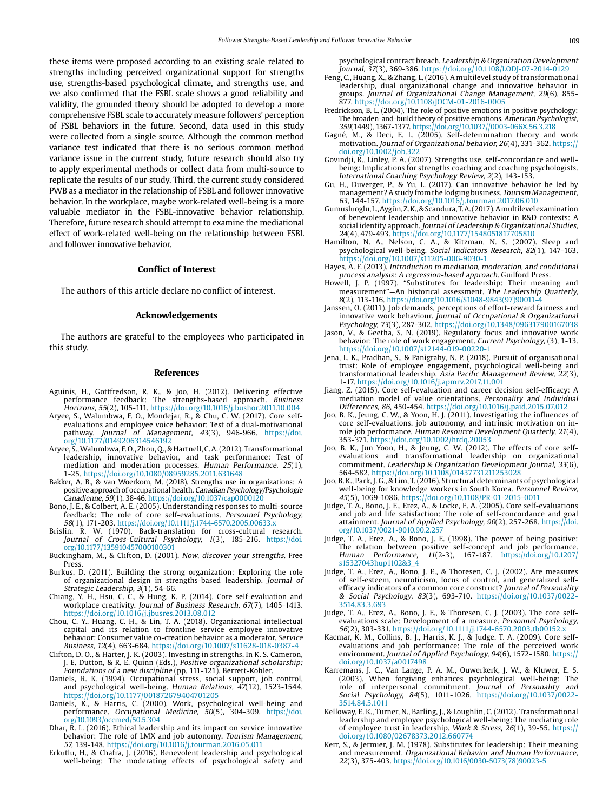these items were proposed according to an existing scale related to strengths including perceived organizational support for strengths use, strengths-based psychological climate, and strengths use, and we also confirmed that the FSBL scale shows a good reliability and validity, the grounded theory should be adopted to develop a more comprehensive FSBL scale to accurately measure followers' perception of FSBL behaviors in the future. Second, data used in this study were collected from a single source. Although the common method variance test indicated that there is no serious common method variance issue in the current study, future research should also try to apply experimental methods or collect data from multi-source to replicate the results of our study. Third, the current study considered PWB as a mediator in the relationship of FSBL and follower innovative behavior. In the workplace, maybe work-related well-being is a more valuable mediator in the FSBL-innovative behavior relationship. Therefore, future research should attempt to examine the mediational effect of work-related well-being on the relationship between FSBL and follower innovative behavior.

## **Conflict of Interest**

The authors of this article declare no conflict of interest.

#### **Acknowledgements**

The authors are grateful to the employees who participated in this study.

#### **References**

- Aguinis, H., Gottfredson, R. K., & Joo, H. (2012). Delivering effective performance feedback: The strengths-based approach. Business Horizons, 55(2), 105-111. https://doi.org/10.1016/j.bushor.2011.10.004
- Aryee, S., Walumbwa, F. O., Mondejar, R., & Chu, C. W. (2017). Core selfevaluations and employee voice behavior: Test of a dual-motivational pathway. Journal of Management, 43(3), 946-966. [https://doi.](https://doi.org/10.1177/0149206314546192) [org/10.1177/0149206314546192](https://doi.org/10.1177/0149206314546192)
- Aryee, S., Walumbwa, F. O., Zhou, Q., & Hartnell, C. A. (2012). Transformational leadership, innovative behavior, and task performance: Test of mediation and moderation processes. Human Performance, 25(1), 1-25. https://doi.org/10.1080/08959285.2011.631648
- Bakker, A. B., & van Woerkom, M. (2018). Strengths use in organizations: A positive approach of occupational health. Canadian Psychology/Psychologie Canadienne, 59(1), 38-46.<https://doi.org/10.1037/cap0000120>
- Bono, J. E., & Colbert, A. E. (2005). Understanding responses to multi-source feedback: The role of core self-evaluations. *Personnel Psychology,*<br>58(1), 171-203. <https://doi.org/10.1111/j.1744-6570.2005.00633.x>
- Brislin, R. W. (1970). Back-translation for cross-cultural research. Journal of Cross-Cultural Psychology, 1(3), 185-216. [https://doi.](https://doi.org/10.1177/135910457000100301) [org/10.1177/135910457000100301](https://doi.org/10.1177/135910457000100301)
- Buckingham, M., & Clifton, D. (2001). Now, discover your strengths. Free Press.
- Burkus, D. (2011). Building the strong organization: Exploring the role of organizational design in strengths-based leadership. Journal of Strategic Leadership, 3(1), 54-66.
- Chiang, Y. H., Hsu, C. C., & Hung, K. P. (2014). Core self-evaluation and workplace creativity. Journal of Business Research, 67(7), 1405-1413. https://doi.org/10.1016/j.jbusres.2013.08.012
- Chou, C. Y., Huang, C. H., & Lin, T. A. (2018). Organizational intellectual capital and its relation to frontline service employee innovative behavior: Consumer value co-creation behavior as a moderator. Service Business, 12(4), 663-684. https://doi.org/10.1007/s11628-018-0387-4
- Clifton, D. O., & Harter, J. K. (2003). Investing in strengths. In K. S. Cameron, J. E. Dutton, & R. E. Quinn (Eds.), Positive organizational scholarship:
- Foundations of a new discipline (pp. 111-121). Berrett-Kohler. Daniels, R. K. (1994). Occupational stress, social support, job control, and psychological well-being. Human Relations, 47(12), 1523-1544. https://doi.org/10.1177/001872679404701205
- Daniels, K., & Harris, C. (2000). Work, psychological well-being and performance. Occupational Medicine, 50(5), 304-309. [https://doi.](https://doi.org/10.1093/occmed/50.5.304) [org/10.1093/occmed/50.5.304](https://doi.org/10.1093/occmed/50.5.304)
- Dhar, R. L. (2016). Ethical leadership and its impact on service innovative behavior: The role of LMX and job autonomy. Tourism Management, 57, 139-148. https://doi.org/10.1016/j.tourman.2016.05.011
- Erkutlu, H., & Chafra, J. (2016). Benevolent leadership and psychological well-being: The moderating effects of psychological safety and

psychological contract breach. Leadership & Organization Development Journal, 37(3), 369-386. https://doi.org/10.1108/LODJ-07-2014-0129

- Feng, C., Huang, X., & Zhang, L. (2016). A multilevel study of transformational leadership, dual organizational change and innovative behavior in groups. Journal of Organizational Change Management, 29(6), 855- 877. https://doi.org/10.1108/JOCM-01-2016-0005
- Fredrickson, B. L. (2004). The role of positive emotions in positive psychology: The broaden-and-build theory of positive emotions. American Psychologist, 359(1449), 1367-1377. https://doi.org/10.1037//0003-066X.56.3.218
- Gagné, M., & Deci, E. L. (2005). Self-determination theory and work motivation. Journal of Organizational behavior, 26(4), 331-362. https:// doi.org/10.1002/job.322
- Govindji, R., Linley, P. A. (2007). Strengths use, self-concordance and wellbeing: Implications for strengths coaching and coaching psychologists. International Coaching Psychology Review, 2(2), 143-153.
- Gu, H., Duverger, P., & Yu, L. (2017). Can innovative behavior be led by management? A study from the lodging business. Tourism Management, 63, 144-157. https://doi.org/10.1016/j.tourman.2017.06.010
- Gumusluoglu, L., Aygün, Z. K., & Scandura, T. A. (2017). A multilevel examination of benevolent leadership and innovative behavior in R&D contexts: A social identity approach. Journal of Leadership & Organizational Studies, 24(4), 479-493. https://doi.org/10.1177/1548051817705810
- Hamilton, N. A., Nelson, C. A., & Kitzman, N. S. (2007). Sleep and psychological well-being. Social Indicators Research, 82(1), 147-163. https://doi.org/10.1007/s11205-006-9030-1
- Hayes, A. F. (2013). Introduction to mediation, moderation, and conditional process analysis: A regression-based approach. Guilford Press.
- Howell, J. P. (1997). "Substitutes for leadership: Their meaning and measurement"—An historical assessment. The Leadership Quarterly, 8(2), 113-116. [https://doi.org/10.1016/S1048-9843\(97\)90011-4](https://doi.org/10.1016/S1048-9843(97)90011-4
)
- Janssen, O. (2011). Job demands, perceptions of effort-reward fairness and innovative work behaviour. Journal of Occupational & Organizational Psychology, 73(3), 287-302.<https://doi.org/10.1348/096317900167038>
- Jason, V., & Geetha, S. N. (2019). Regulatory focus and innovative work behavior: The role of work engagement. Current Psychology, (3), 1-13. https://doi.org/10.1007/s12144-019-00220-1
- Jena, L. K., Pradhan, S., & Panigrahy, N. P. (2018). Pursuit of organisational trust: Role of employee engagement, psychological well-being and transformational leadership. Asia Pacific Management Review, 22(3), 1-17. https://doi.org/10.1016/j.apmrv.2017.11.001
- Jiang, Z. (2015). Core self-evaluation and career decision self-efficacy: A mediation model of value orientations. Personality and Individual Differences, 86, 450-454. https://doi.org/10.1016/j.paid.2015.07.012
- Joo, B. K., Jeung, C. W., & Yoon, H. J. (2011). Investigating the influences of core self-evaluations, job autonomy, and intrinsic motivation on inrole job performance. Human Resource Development Quarterly, 21(4), 353-371. https://doi.org/10.1002/hrdq.20053
- Joo, B. K., Jun Yoon, H., & Jeung, C. W. (2012). The effects of core selfevaluations and transformational leadership on organizational commitment. Leadership & Organization Development Journal, 33(6), 564-582. https://doi.org/10.1108/01437731211253028
- Joo, B. K., Park, J. G., & Lim, T. (2016). Structural determinants of psychological well-being for knowledge workers in South Korea. Personnel Review, 45(5), 1069-1086. <https://doi.org/10.1108/PR-01-2015-0011>
- Judge, T. A., Bono, J. E., Erez, A., & Locke, E. A. (2005). Core self-evaluations and job and life satisfaction: The role of self-concordance and goal attainment. Journal of Applied Psychology, 90(2), 257-268. [https://doi.](https://doi.org/10.1037/0021-9010.90.2.257) [org/10.1037/0021-9010.90.2.257](https://doi.org/10.1037/0021-9010.90.2.257)
- Judge, T. A., Erez, A., & Bono, J. E. (1998). The power of being positive: The relation between positive self-concept and job performance. Human Performance, 11(2-3), 167-187. [https://doi.org/10.1207/](https://doi.org/10.1207/s15327043hup1102&3_4) [s15327043hup1102&3\\_4](https://doi.org/10.1207/s15327043hup1102&3_4)
- Judge, T. A., Erez, A., Bono, J. E., & Thoresen, C. J. (2002). Are measures of self-esteem, neuroticism, locus of control, and generalized selfefficacy indicators of a common core construct? Journal of Personality & Social Psychology, 83(3), 693-710. https://doi.org/10.1037/0022- 3514.83.3.693
- Judge, T. A., Erez, A., Bono, J. E., & Thoresen, C. J. (2003). The core selfevaluations scale: Development of a measure. Personnel Psychology, 56(2), 303-331. https://doi.org/10.1111/j.1744-6570.2003.tb00152.x
- Kacmar, K. M., Collins, B. J., Harris, K. J., & Judge, T. A. (2009). Core selfevaluations and job performance: The role of the perceived work environment. Journal of Applied Psychology, 94(6), 1572-1580. https:// doi.org/10.1037/a0017498
- Karremans, J. C., Van Lange, P. A. M., Ouwerkerk, J. W., & Kluwer, E. S. (2003). When forgiving enhances psychological well-being: The role of interpersonal commitment. Journal of Personality and Social Psychology, 84(5), 1011-1026. https://doi.org/10.1037/0022- 3514.84.5.1011
- Kelloway, E. K., Turner, N., Barling, J., & Loughlin, C. (2012). Transformational leadership and employee psychological well-being: The mediating role of employee trust in leadership. Work & Stress, 26(1), 39-55. https:// doi.org/10.1080/02678373.2012.660774
- Kerr, S., & Jermier, J. M. (1978). Substitutes for leadership: Their meaning and measurement. Organizational Behavior and Human Performance, 22(3), 375-403. [https://doi.org/10.1016/0030-5073\(78\)90023-5](https://doi.org/10.1016/0030-5073(78)90023-5)